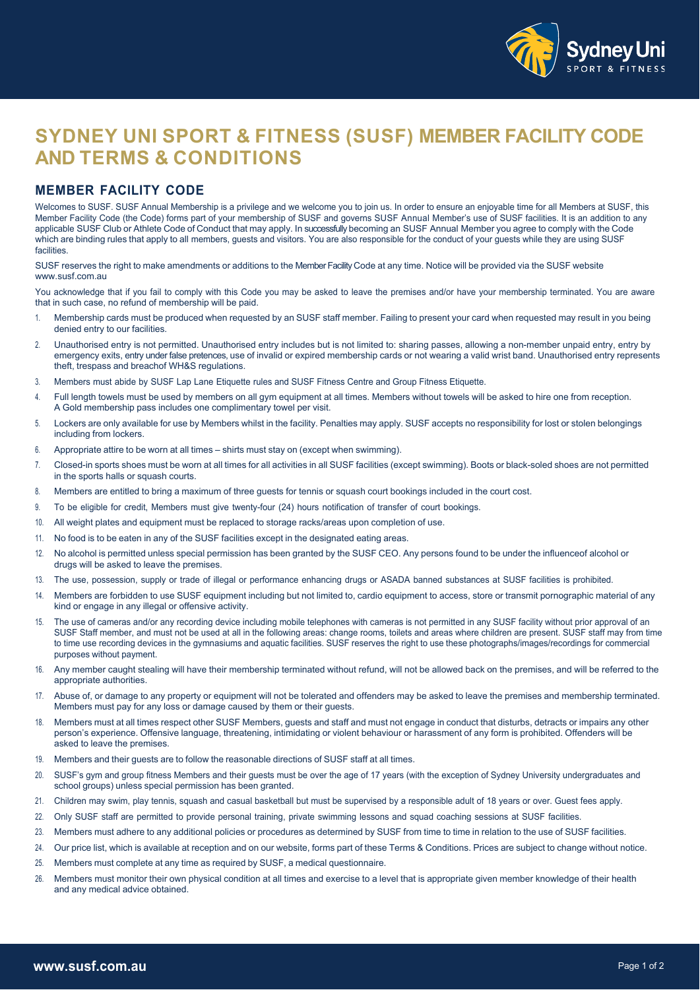



# **SYDNEY UNI SPORT & FITNESS (SUSF) MEMBER FACILITY CODE AND TERMS & CONDITIONS**

### **MEMBER FACILITY CODE**

Welcomes to SUSF. SUSF Annual Membership is a privilege and we welcome you to join us. In order to ensure an enjoyable time for all Members at SUSF, this Member Facility Code (the Code) forms part of your membership of SUSF and governs SUSF Annual Member's use of SUSF facilities. It is an addition to any applicable SUSF Club or Athlete Code of Conduct that may apply. In successfully becoming an SUSF Annual Member you agree to comply with the Code which are binding rules that apply to all members, quests and visitors. You are also responsible for the conduct of your quests while they are using SUSF facilities.

SUSF reserves the right to make amendments or additions to the Member Facility Code at any time. Notice will be provided via the SUSF website www.susf.com.au

You acknowledge that if you fail to comply with this Code you may be asked to leave the premises and/or have your membership terminated. You are aware that in such case, no refund of membership will be paid.

- 1. Membership cards must be produced when requested by an SUSF staff member. Failing to present your card when requested may result in you being denied entry to our facilities.
- 2. Unauthorised entry is not permitted. Unauthorised entry includes but is not limited to: sharing passes, allowing a non-member unpaid entry, entry by emergency exits, entry under false pretences, use of invalid or expired membership cards or not wearing a valid wrist band. Unauthorised entry represents theft, trespass and breachof WH&S regulations.
- 3. Members must abide by SUSF Lap Lane Etiquette rules and SUSF Fitness Centre and Group Fitness Etiquette.
- 4. Full length towels must be used by members on all gym equipment at all times. Members without towels will be asked to hire one from reception. A Gold membership pass includes one complimentary towel per visit.
- 5. Lockers are only available for use by Members whilst in the facility. Penalties may apply. SUSF accepts no responsibility for lost or stolen belongings including from lockers.
- 6. Appropriate attire to be worn at all times shirts must stay on (except when swimming).
- 7. Closed-in sports shoes must be worn at all times for all activities in all SUSF facilities (except swimming). Boots or black-soled shoes are not permitted in the sports halls or squash courts.
- 8. Members are entitled to bring a maximum of three guests for tennis or squash court bookings included in the court cost.
- 9. To be eligible for credit, Members must give twenty-four (24) hours notification of transfer of court bookings.
- 10. All weight plates and equipment must be replaced to storage racks/areas upon completion of use.
- 11. No food is to be eaten in any of the SUSF facilities except in the designated eating areas.
- 12. No alcohol is permitted unless special permission has been granted by the SUSF CEO. Any persons found to be under the influenceof alcohol or drugs will be asked to leave the premises.
- 13. The use, possession, supply or trade of illegal or performance enhancing drugs or ASADA banned substances at SUSF facilities is prohibited.
- 14. Members are forbidden to use SUSF equipment including but not limited to, cardio equipment to access, store or transmit pornographic material of any kind or engage in any illegal or offensive activity.
- 15. The use of cameras and/or any recording device including mobile telephones with cameras is not permitted in any SUSF facility without prior approval of an SUSF Staff member, and must not be used at all in the following areas: change rooms, toilets and areas where children are present. SUSF staff may from time to time use recording devices in the gymnasiums and aquatic facilities. SUSF reserves the right to use these photographs/images/recordings for commercial purposes without payment.
- 16. Any member caught stealing will have their membership terminated without refund, will not be allowed back on the premises, and will be referred to the appropriate authorities.
- 17. Abuse of, or damage to any property or equipment will not be tolerated and offenders may be asked to leave the premises and membership terminated. Members must pay for any loss or damage caused by them or their guests.
- 18. Members must at all times respect other SUSF Members, guests and staff and must not engage in conduct that disturbs, detracts or impairs any other person's experience. Offensive language, threatening, intimidating or violent behaviour or harassment of any form is prohibited. Offenders will be asked to leave the premises.
- 19. Members and their guests are to follow the reasonable directions of SUSF staff at all times.
- 20. SUSF's gym and group fitness Members and their guests must be over the age of 17 years (with the exception of Sydney University undergraduates and school groups) unless special permission has been granted.
- 21. Children may swim, play tennis, squash and casual basketball but must be supervised by a responsible adult of 18 years or over. Guest fees apply.
- 22. Only SUSF staff are permitted to provide personal training, private swimming lessons and squad coaching sessions at SUSF facilities.
- 23. Members must adhere to any additional policies or procedures as determined by SUSF from time to time in relation to the use of SUSF facilities.
- 24. Our price list, which is available at reception and on our website, forms part of these Terms & Conditions. Prices are subject to change without notice.
- 25. Members must complete at any time as required by SUSF, a medical questionnaire.
- 26. Members must monitor their own physical condition at all times and exercise to a level that is appropriate given member knowledge of their health and any medical advice obtained.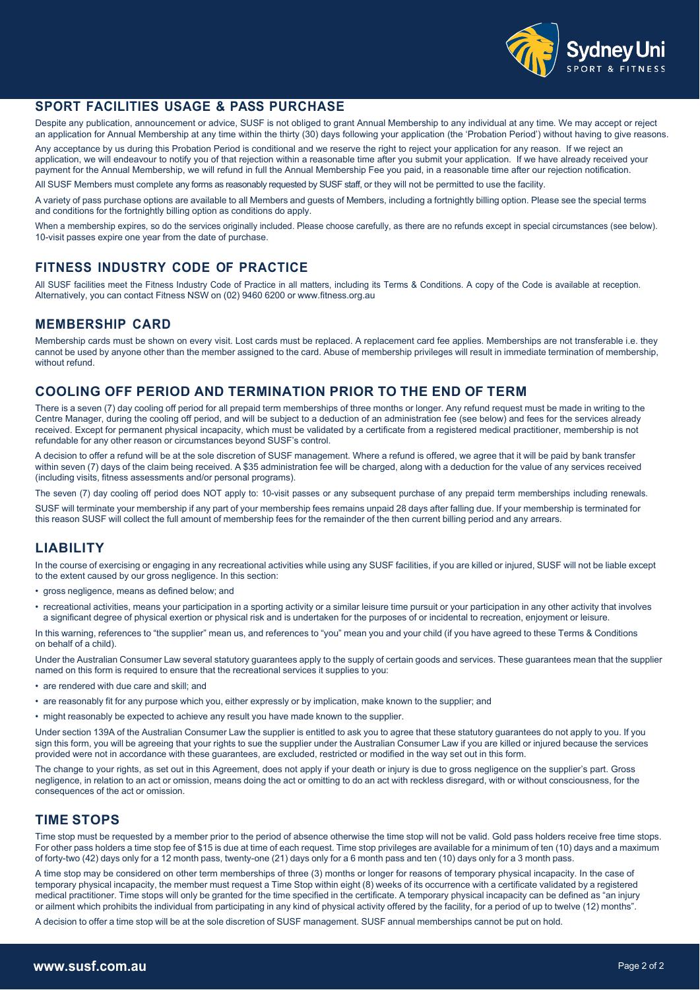



## **SPORT FACILITIES USAGE & PASS PURCHASE**

Despite any publication, announcement or advice, SUSF is not obliged to grant Annual Membership to any individual at any time. We may accept or reject an application for Annual Membership at any time within the thirty (30) days following your application (the 'Probation Period') without having to give reasons.

Any acceptance by us during this Probation Period is conditional and we reserve the right to reject your application for any reason. If we reject an application, we will endeavour to notify you of that rejection within a reasonable time after you submit your application. If we have already received your payment for the Annual Membership, we will refund in full the Annual Membership Fee you paid, in a reasonable time after our rejection notification.

All SUSF Members must complete any forms as reasonably requested by SUSF staff, or they will not be permitted to use the facility.

A variety of pass purchase options are available to all Members and guests of Members, including a fortnightly billing option. Please see the special terms and conditions for the fortnightly billing option as conditions do apply.

When a membership expires, so do the services originally included. Please choose carefully, as there are no refunds except in special circumstances (see below). 10-visit passes expire one year from the date of purchase.

## **FITNESS INDUSTRY CODE OF PRACTICE**

All SUSF facilities meet the Fitness Industry Code of Practice in all matters, including its Terms & Conditions. A copy of the Code is available at reception. Alternatively, you can contact Fitness NSW on (02) 9460 6200 or www.fitness.org.au

#### **MEMBERSHIP CARD**

Membership cards must be shown on every visit. Lost cards must be replaced. A replacement card fee applies. Memberships are not transferable i.e. they cannot be used by anyone other than the member assigned to the card. Abuse of membership privileges will result in immediate termination of membership, without refund.

#### **COOLING OFF PERIOD AND TERMINATION PRIOR TO THE END OF TERM**

In this warning, references to "the supplier" mean us, and references to "you" mean you and your child (if you have agreed to these Terms & Conditions on behalf of a child).

Under section 139A of the Australian Consumer Law the supplier is entitled to ask you to agree that these statutory guarantees do not apply to you. If you sign this form, you will be agreeing that your rights to sue the supplier under the Australian Consumer Law if you are killed or injured because the services

There is a seven (7) day cooling off period for all prepaid term memberships of three months or longer. Any refund request must be made in writing to the Centre Manager, during the cooling off period, and will be subject to a deduction of an administration fee (see below) and fees for the services already received. Except for permanent physical incapacity, which must be validated by a certificate from a registered medical practitioner, membership is not refundable for any other reason or circumstances beyond SUSF's control.

A decision to offer a refund will be at the sole discretion of SUSF management. Where a refund is offered, we agree that it will be paid by bank transfer within seven (7) days of the claim being received. A \$35 administration fee will be charged, along with a deduction for the value of any services received (including visits, fitness assessments and/or personal programs).

The seven (7) day cooling off period does NOT apply to: 10-visit passes or any subsequent purchase of any prepaid term memberships including renewals.

SUSF will terminate your membership if any part of your membership fees remains unpaid 28 days after falling due. If your membership is terminated for this reason SUSF will collect the full amount of membership fees for the remainder of the then current billing period and any arrears.

## **LIABILITY**

In the course of exercising or engaging in any recreational activities while using any SUSF facilities, if you are killed or injured, SUSF will not be liable except to the extent caused by our gross negligence. In this section:

- gross negligence, means as defined below; and
- recreational activities, means your participation in a sporting activity or a similar leisure time pursuit or your participation in any other activity that involves a significant degree of physical exertion or physical risk and is undertaken for the purposes of or incidental to recreation, enjoyment or leisure.

Under the Australian Consumer Law several statutory guarantees apply to the supply of certain goods and services. These guarantees mean that the supplier named on this form is required to ensure that the recreational services it supplies to you:

- are rendered with due care and skill; and
- are reasonably fit for any purpose which you, either expressly or by implication, make known to the supplier; and
- might reasonably be expected to achieve any result you have made known to the supplier.

provided were not in accordance with these guarantees, are excluded, restricted or modified in the way set out in this form.

The change to your rights, as set out in this Agreement, does not apply if your death or injury is due to gross negligence on the supplier's part. Gross negligence, in relation to an act or omission, means doing the act or omitting to do an act with reckless disregard, with or without consciousness, for the consequences of the act or omission.

#### **TIME STOPS**

Time stop must be requested by a member prior to the period of absence otherwise the time stop will not be valid. Gold pass holders receive free time stops. For other pass holders a time stop fee of \$15 is due at time of each request. Time stop privileges are available for a minimum of ten (10) days and a maximum of forty-two (42) days only for a 12 month pass, twenty-one (21) days only for a 6 month pass and ten (10) days only for a 3 month pass.

A time stop may be considered on other term memberships of three (3) months or longer for reasons of temporary physical incapacity. In the case of temporary physical incapacity, the member must request a Time Stop within eight (8) weeks of its occurrence with a certificate validated by a registered medical practitioner. Time stops will only be granted for the time specified in the certificate. A temporary physical incapacity can be defined as "an injury or ailment which prohibits the individual from participating in any kind of physical activity offered by the facility, for a period of up to twelve (12) months".

A decision to offer a time stop will be at the sole discretion of SUSF management. SUSF annual memberships cannot be put on hold.